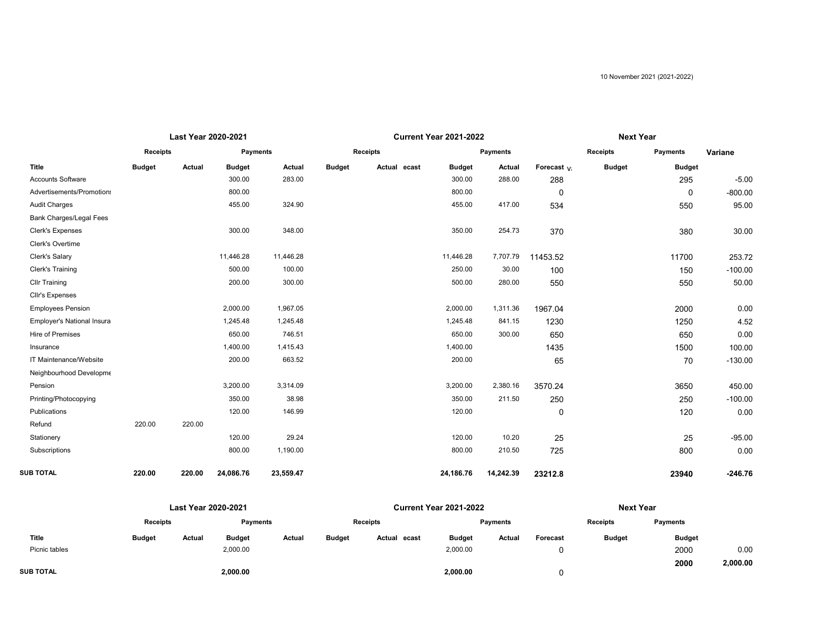|                                |               | Last Year 2020-2021 |               |           |               |                 | <b>Current Year 2021-2022</b> |                 | <b>Next Year</b> |                 |               |           |
|--------------------------------|---------------|---------------------|---------------|-----------|---------------|-----------------|-------------------------------|-----------------|------------------|-----------------|---------------|-----------|
|                                | Receipts      |                     | Payments      |           |               | <b>Receipts</b> |                               | <b>Payments</b> |                  | <b>Receipts</b> |               | Variane   |
| <b>Title</b>                   | <b>Budget</b> | Actual              | <b>Budget</b> | Actual    | <b>Budget</b> | Actual ecast    | <b>Budget</b>                 | Actual          | Forecast va      | <b>Budget</b>   | <b>Budget</b> |           |
| <b>Accounts Software</b>       |               |                     | 300.00        | 283.00    |               |                 | 300.00                        | 288.00          | 288              |                 | 295           | $-5.00$   |
| Advertisements/Promotions      |               |                     | 800.00        |           |               |                 | 800.00                        |                 | 0                |                 | $\Omega$      | $-800.00$ |
| <b>Audit Charges</b>           |               |                     | 455.00        | 324.90    |               |                 | 455.00                        | 417.00          | 534              |                 | 550           | 95.00     |
| <b>Bank Charges/Legal Fees</b> |               |                     |               |           |               |                 |                               |                 |                  |                 |               |           |
| Clerk's Expenses               |               |                     | 300.00        | 348.00    |               |                 | 350.00                        | 254.73          | 370              |                 | 380           | 30.00     |
| Clerk's Overtime               |               |                     |               |           |               |                 |                               |                 |                  |                 |               |           |
| Clerk's Salary                 |               |                     | 11,446.28     | 11,446.28 |               |                 | 11,446.28                     | 7,707.79        | 11453.52         |                 | 11700         | 253.72    |
| Clerk's Training               |               |                     | 500.00        | 100.00    |               |                 | 250.00                        | 30.00           | 100              |                 | 150           | $-100.00$ |
| <b>Cllr Training</b>           |               |                     | 200.00        | 300.00    |               |                 | 500.00                        | 280.00          | 550              |                 | 550           | 50.00     |
| Cllr's Expenses                |               |                     |               |           |               |                 |                               |                 |                  |                 |               |           |
| <b>Employees Pension</b>       |               |                     | 2,000.00      | 1,967.05  |               |                 | 2,000.00                      | 1,311.36        | 1967.04          |                 | 2000          | 0.00      |
| Employer's National Insura     |               |                     | 1,245.48      | 1,245.48  |               |                 | 1,245.48                      | 841.15          | 1230             |                 | 1250          | 4.52      |
| Hire of Premises               |               |                     | 650.00        | 746.51    |               |                 | 650.00                        | 300.00          | 650              |                 | 650           | 0.00      |
| Insurance                      |               |                     | 1,400.00      | 1,415.43  |               |                 | 1,400.00                      |                 | 1435             |                 | 1500          | 100.00    |
| IT Maintenance/Website         |               |                     | 200.00        | 663.52    |               |                 | 200.00                        |                 | 65               |                 | 70            | $-130.00$ |
| Neighbourhood Developme        |               |                     |               |           |               |                 |                               |                 |                  |                 |               |           |
| Pension                        |               |                     | 3,200.00      | 3,314.09  |               |                 | 3,200.00                      | 2,380.16        | 3570.24          |                 | 3650          | 450.00    |
| Printing/Photocopying          |               |                     | 350.00        | 38.98     |               |                 | 350.00                        | 211.50          | 250              |                 | 250           | $-100.00$ |
| Publications                   |               |                     | 120.00        | 146.99    |               |                 | 120.00                        |                 | 0                |                 | 120           | 0.00      |
| Refund                         | 220.00        | 220.00              |               |           |               |                 |                               |                 |                  |                 |               |           |
| Stationery                     |               |                     | 120.00        | 29.24     |               |                 | 120.00                        | 10.20           | 25               |                 | 25            | $-95.00$  |
| Subscriptions                  |               |                     | 800.00        | 1,190.00  |               |                 | 800.00                        | 210.50          | 725              |                 | 800           | 0.00      |
| <b>SUB TOTAL</b>               | 220.00        | 220.00              | 24,086.76     | 23,559.47 |               |                 | 24,186.76                     | 14,242.39       | 23212.8          |                 | 23940         | $-246.76$ |

|                  |               | Last Year 2020-2021 |               |        | <b>Current Year 2021-2022</b> |                 |               |          |          | <b>Next Year</b> |               |          |
|------------------|---------------|---------------------|---------------|--------|-------------------------------|-----------------|---------------|----------|----------|------------------|---------------|----------|
|                  | Receipts      |                     | Payments      |        |                               | <b>Receipts</b> |               | Payments |          | <b>Receipts</b>  | Payments      |          |
| Title            | <b>Budget</b> | Actual              | <b>Budget</b> | Actual | <b>Budget</b>                 | Actual ecast    | <b>Budget</b> | Actual   | Forecast | <b>Budget</b>    | <b>Budget</b> |          |
| Picnic tables    |               |                     | 2,000.00      |        |                               |                 | 2,000.00      |          |          |                  | 2000          | 0.00     |
|                  |               |                     |               |        |                               |                 |               |          |          |                  | 2000          | 2,000.00 |
| <b>SUB TOTAL</b> |               |                     | 2,000.00      |        |                               |                 | 2,000.00      |          |          |                  |               |          |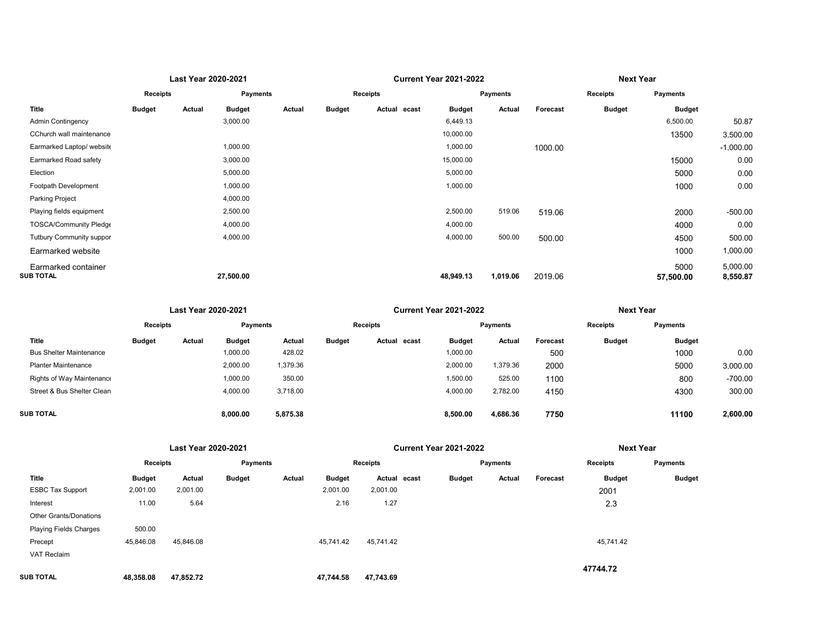|                                  | Last Year 2020-2021 |        |                 |        |               |                 | <b>Current Year 2021-2022</b> |                 | <b>Next Year</b> |               |                   |                      |
|----------------------------------|---------------------|--------|-----------------|--------|---------------|-----------------|-------------------------------|-----------------|------------------|---------------|-------------------|----------------------|
|                                  | Receipts            |        | <b>Payments</b> |        |               | Receipts        |                               | <b>Payments</b> |                  | Receipts      | <b>Payments</b>   |                      |
| Title                            | <b>Budget</b>       | Actual | <b>Budget</b>   | Actual | <b>Budget</b> | Actual<br>ecast | <b>Budget</b>                 | Actual          | Forecast         | <b>Budget</b> | <b>Budget</b>     |                      |
| <b>Admin Contingency</b>         |                     |        | 3,000.00        |        |               |                 | 6,449.13                      |                 |                  |               | 6,500.00          | 50.87                |
| CChurch wall maintenance         |                     |        |                 |        |               |                 | 10,000.00                     |                 |                  |               | 13500             | 3.500.00             |
| Earmarked Laptop/ website        |                     |        | 1,000.00        |        |               |                 | 1,000.00                      |                 | 1000.00          |               |                   | $-1.000.00$          |
| Earmarked Road safety            |                     |        | 3,000.00        |        |               |                 | 15,000.00                     |                 |                  |               | 15000             | 0.00                 |
| Election                         |                     |        | 5,000.00        |        |               |                 | 5,000.00                      |                 |                  |               | 5000              | 0.00                 |
| Footpath Development             |                     |        | 1,000.00        |        |               |                 | 1,000.00                      |                 |                  |               | 1000              | 0.00                 |
| Parking Project                  |                     |        | 4,000.00        |        |               |                 |                               |                 |                  |               |                   |                      |
| Playing fields equipment         |                     |        | 2,500.00        |        |               |                 | 2,500.00                      | 519.06          | 519.06           |               | 2000              | $-500.00$            |
| TOSCA/Community Pledge           |                     |        | 4,000.00        |        |               |                 | 4,000.00                      |                 |                  |               | 4000              | 0.00                 |
| Tutbury Community suppor         |                     |        | 4,000.00        |        |               |                 | 4,000.00                      | 500.00          | 500.00           |               | 4500              | 500.00               |
| Earmarked website                |                     |        |                 |        |               |                 |                               |                 |                  |               | 1000              | 1,000.00             |
| Earmarked container<br>SUB TOTAL |                     |        | 27,500.00       |        |               |                 | 48,949.13                     | 1,019.06        | 2019.06          |               | 5000<br>57,500.00 | 5,000.00<br>8,550.87 |
|                                  |                     |        |                 |        |               |                 |                               |                 |                  |               |                   |                      |

|                                |                 | Last Year 2020-2021 |               |          |               |                 | <b>Current Year 2021-2022</b> |          | <b>Next Year</b> |                 |               |           |
|--------------------------------|-----------------|---------------------|---------------|----------|---------------|-----------------|-------------------------------|----------|------------------|-----------------|---------------|-----------|
|                                | <b>Receipts</b> |                     | Payments      |          |               | <b>Receipts</b> |                               | Payments |                  | <b>Receipts</b> | Payments      |           |
| Title                          | <b>Budget</b>   | Actual              | <b>Budget</b> | Actual   | <b>Budget</b> | Actual ecast    | <b>Budget</b>                 | Actual   | Forecast         | <b>Budget</b>   | <b>Budget</b> |           |
| <b>Bus Shelter Maintenance</b> |                 |                     | 1,000.00      | 428.02   |               |                 | 1,000.00                      |          | 500              |                 | 1000          | 0.00      |
| <b>Planter Maintenance</b>     |                 |                     | 2,000.00      | 1,379.36 |               |                 | 2,000.00                      | 379.36   | 2000             |                 | 5000          | 3.000.00  |
| Rights of Way Maintenance      |                 |                     | 1,000.00      | 350.00   |               |                 | 1,500.00                      | 525.00   | 1100             |                 | 800           | $-700.00$ |
| Street & Bus Shelter Clean     |                 |                     | 4,000.00      | 3,718.00 |               |                 | 4,000.00                      | 2,782.00 | 4150             |                 | 4300          | 300.00    |
|                                |                 |                     |               |          |               |                 |                               |          |                  |                 |               |           |
| <b>SUB TOTAL</b>               |                 |                     | 8,000.00      | 5,875.38 |               |                 | 8,500.00                      | 4,686.36 | 7750             |                 | 11100         | 2,600.00  |

|                               |                 |           |               | <b>Current Year 2021-2022</b> |                 | <b>Next Year</b> |       |               |        |          |               |               |
|-------------------------------|-----------------|-----------|---------------|-------------------------------|-----------------|------------------|-------|---------------|--------|----------|---------------|---------------|
|                               | <b>Receipts</b> |           | Payments      |                               | <b>Receipts</b> |                  |       | Payments      |        |          | Receipts      | Payments      |
| Title                         | <b>Budget</b>   | Actual    | <b>Budget</b> | Actual                        | <b>Budget</b>   | Actual           | ecast | <b>Budget</b> | Actual | Forecast | <b>Budget</b> | <b>Budget</b> |
| <b>ESBC Tax Support</b>       | 2,001.00        | 2,001.00  |               |                               | 2,001.00        | 2,001.00         |       |               |        |          | 2001          |               |
| Interest                      | 11.00           | 5.64      |               |                               | 2.16            | 1.27             |       |               |        |          | 2.3           |               |
| Other Grants/Donations        |                 |           |               |                               |                 |                  |       |               |        |          |               |               |
| <b>Playing Fields Charges</b> | 500.00          |           |               |                               |                 |                  |       |               |        |          |               |               |
| Precept                       | 45,846.08       | 45,846.08 |               |                               | 45,741.42       | 45,741.42        |       |               |        |          | 45,741.42     |               |
| <b>VAT Reclaim</b>            |                 |           |               |                               |                 |                  |       |               |        |          |               |               |
|                               |                 |           |               |                               |                 |                  |       |               |        |          | 47744.72      |               |
| SUB TOTAL                     | 48,358.08       | 47,852.72 |               |                               | 47,744.58       | 47,743.69        |       |               |        |          |               |               |